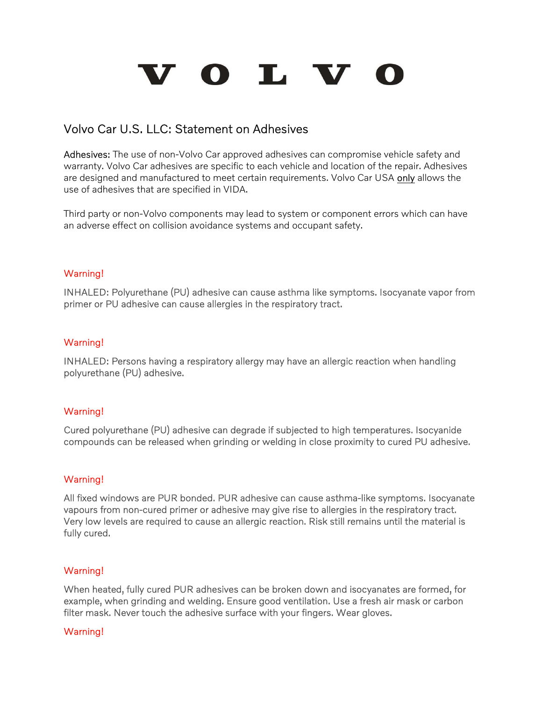# VOLV

## Volvo Car U.S. LLC: Statement on Adhesives

Adhesives: The use of non-Volvo Car approved adhesives can compromise vehicle safety and warranty. Volvo Car adhesives are specific to each vehicle and location of the repair. Adhesives are designed and manufactured to meet certain requirements. Volvo Car USA only allows the use of adhesives that are specified in VIDA.

Third party or non-Volvo components may lead to system or component errors which can have an adverse effect on collision avoidance systems and occupant safety.

#### Warning!

INHALED: Polyurethane (PU) adhesive can cause asthma like symptoms. Isocyanate vapor from primer or PU adhesive can cause allergies in the respiratory tract.

### Warning!

INHALED: Persons having a respiratory allergy may have an allergic reaction when handling polyurethane (PU) adhesive.

#### Warning!

Cured polyurethane (PU) adhesive can degrade if subjected to high temperatures. Isocyanide compounds can be released when grinding or welding in close proximity to cured PU adhesive.

#### Warning!

All fixed windows are PUR bonded. PUR adhesive can cause asthma-like symptoms. Isocyanate vapours from non-cured primer or adhesive may give rise to allergies in the respiratory tract. Very low levels are required to cause an allergic reaction. Risk still remains until the material is fully cured.

#### Warning!

When heated, fully cured PUR adhesives can be broken down and isocyanates are formed, for example, when grinding and welding. Ensure good ventilation. Use a fresh air mask or carbon filter mask. Never touch the adhesive surface with your fingers. Wear gloves.

#### Warning!